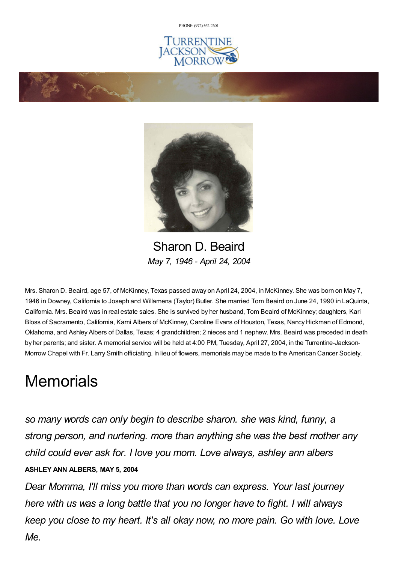PHONE: (972) [562-2601](tel:(972) 562-2601)







Sharon D. Beaird *May 7, 1946 - April 24, 2004*

Mrs. Sharon D. Beaird, age 57, of McKinney, Texas passed away on April 24, 2004, in McKinney. She was born on May 7, 1946 in Downey, California to Joseph and Willamena (Taylor) Butler. She married Tom Beaird on June 24, 1990 in LaQuinta, California. Mrs. Beaird was in real estate sales. She is survived by her husband, Tom Beaird of McKinney; daughters, Kari Bloss of Sacramento, California, Kami Albers of McKinney, Caroline Evans of Houston, Texas, Nancy Hickman of Edmond, Oklahoma, and Ashley Albers of Dallas, Texas; 4 grandchildren; 2 nieces and 1 nephew. Mrs. Beaird was preceded in death by her parents; and sister. A memorial service will be held at 4:00 PM, Tuesday, April 27, 2004, in the Turrentine-Jackson-Morrow Chapel with Fr. Larry Smith officiating. In lieu of flowers, memorials may be made to the American Cancer Society.

## **Memorials**

*so many words can only begin to describe sharon. she was kind, funny, a strong person, and nurtering. more than anything she was the best mother any child could ever ask for. I love you mom. Love always, ashley ann albers* **ASHLEY ANN ALBERS, MAY 5, 2004**

*Dear Momma, I'll miss you more than words can express. Your last journey here with us was a long battle that you no longer have to fight. I will always keep you close to my heart. It's all okay now, no more pain. Go with love. Love Me.*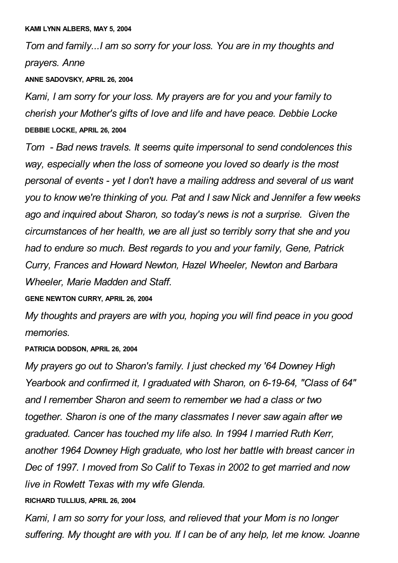*Tom and family...I am so sorry for your loss. You are in my thoughts and prayers. Anne*

**ANNE SADOVSKY, APRIL 26, 2004**

*Kami, I am sorry for your loss. My prayers are for you and your family to cherish your Mother's gifts of love and life and have peace. Debbie Locke* **DEBBIE LOCKE, APRIL 26, 2004**

*Tom - Bad news travels. It seems quite impersonal to send condolences this way, especially when the loss of someone you loved so dearly is the most personal of events - yet I don't have a mailing address and several of us want you to know we're thinking of you. Pat and I saw Nick and Jennifer a few weeks ago and inquired about Sharon, so today's news is not a surprise. Given the circumstances of her health, we are all just so terribly sorry that she and you had to endure so much. Best regards to you and your family, Gene, Patrick Curry, Frances and Howard Newton, Hazel Wheeler, Newton and Barbara Wheeler, Marie Madden and Staff.*

**GENE NEWTON CURRY, APRIL 26, 2004**

*My thoughts and prayers are with you, hoping you will find peace in you good memories.*

**PATRICIA DODSON, APRIL 26, 2004**

*My prayers go out to Sharon's family. I just checked my '64 Downey High Yearbook and confirmed it, I graduated with Sharon, on 6-19-64, "Class of 64" and I remember Sharon and seem to remember we had a class or two together. Sharon is one of the many classmates I never saw again after we graduated. Cancer has touched my life also. In 1994 I married Ruth Kerr, another 1964 Downey High graduate, who lost her battle with breast cancer in Dec of 1997. I moved from So Calif to Texas in 2002 to get married and now live in Rowlett Texas with my wife Glenda.*

**RICHARD TULLIUS, APRIL 26, 2004**

*Kami, I am so sorry for your loss, and relieved that your Mom is no longer suffering. My thought are with you. If I can be of any help, let me know. Joanne*